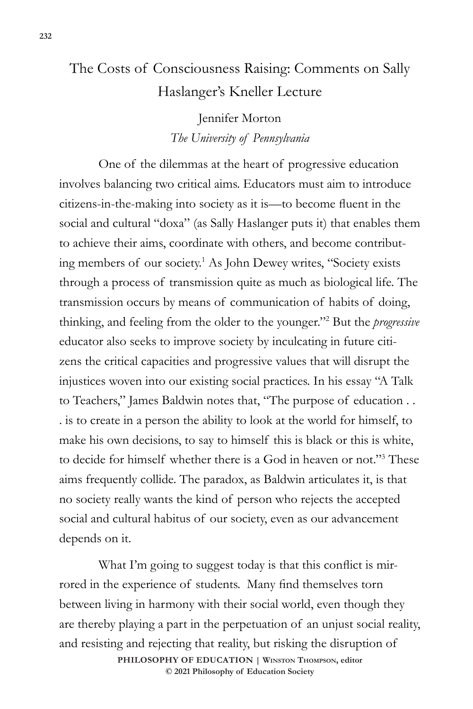## The Costs of Consciousness Raising: Comments on Sally Haslanger's Kneller Lecture

Jennifer Morton *The University of Pennsylvania*

One of the dilemmas at the heart of progressive education involves balancing two critical aims. Educators must aim to introduce citizens-in-the-making into society as it is—to become fluent in the social and cultural "doxa" (as Sally Haslanger puts it) that enables them to achieve their aims, coordinate with others, and become contributing members of our society.1 As John Dewey writes, "Society exists through a process of transmission quite as much as biological life. The transmission occurs by means of communication of habits of doing, thinking, and feeling from the older to the younger."2 But the *progressive* educator also seeks to improve society by inculcating in future citizens the critical capacities and progressive values that will disrupt the injustices woven into our existing social practices. In his essay "A Talk to Teachers," James Baldwin notes that, "The purpose of education . . . is to create in a person the ability to look at the world for himself, to make his own decisions, to say to himself this is black or this is white, to decide for himself whether there is a God in heaven or not."3 These aims frequently collide. The paradox, as Baldwin articulates it, is that no society really wants the kind of person who rejects the accepted social and cultural habitus of our society, even as our advancement depends on it.

**PHILOSOPHY OF EDUCATION | Winston Thompson, editor © 2021 Philosophy of Education Society**  What I'm going to suggest today is that this conflict is mirrored in the experience of students. Many find themselves torn between living in harmony with their social world, even though they are thereby playing a part in the perpetuation of an unjust social reality, and resisting and rejecting that reality, but risking the disruption of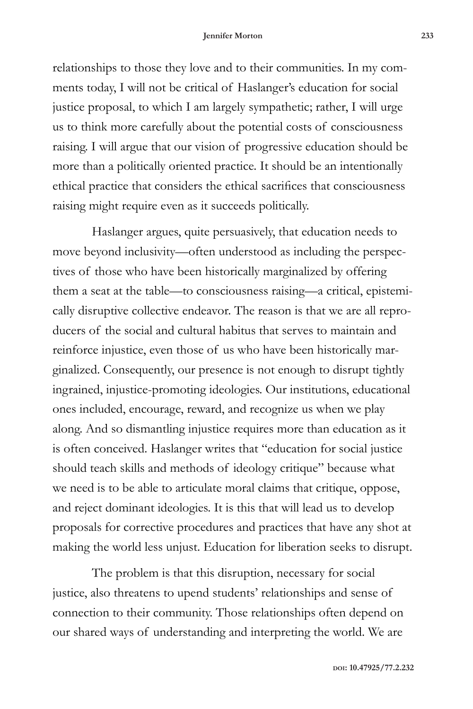relationships to those they love and to their communities. In my comments today, I will not be critical of Haslanger's education for social justice proposal, to which I am largely sympathetic; rather, I will urge us to think more carefully about the potential costs of consciousness raising. I will argue that our vision of progressive education should be more than a politically oriented practice. It should be an intentionally ethical practice that considers the ethical sacrifices that consciousness raising might require even as it succeeds politically.

Haslanger argues, quite persuasively, that education needs to move beyond inclusivity—often understood as including the perspectives of those who have been historically marginalized by offering them a seat at the table—to consciousness raising—a critical, epistemically disruptive collective endeavor. The reason is that we are all reproducers of the social and cultural habitus that serves to maintain and reinforce injustice, even those of us who have been historically marginalized. Consequently, our presence is not enough to disrupt tightly ingrained, injustice-promoting ideologies. Our institutions, educational ones included, encourage, reward, and recognize us when we play along. And so dismantling injustice requires more than education as it is often conceived. Haslanger writes that "education for social justice should teach skills and methods of ideology critique" because what we need is to be able to articulate moral claims that critique, oppose, and reject dominant ideologies. It is this that will lead us to develop proposals for corrective procedures and practices that have any shot at making the world less unjust. Education for liberation seeks to disrupt.

The problem is that this disruption, necessary for social justice, also threatens to upend students' relationships and sense of connection to their community. Those relationships often depend on our shared ways of understanding and interpreting the world. We are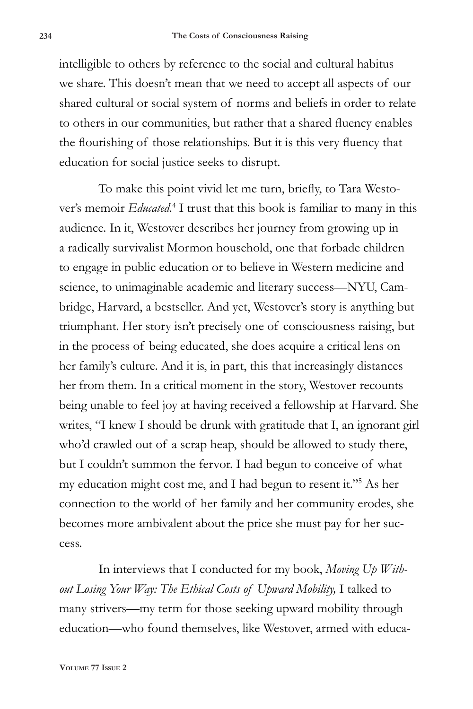intelligible to others by reference to the social and cultural habitus we share. This doesn't mean that we need to accept all aspects of our shared cultural or social system of norms and beliefs in order to relate to others in our communities, but rather that a shared fluency enables the flourishing of those relationships. But it is this very fluency that education for social justice seeks to disrupt.

To make this point vivid let me turn, briefly, to Tara Westover's memoir *Educated*.<sup>4</sup> I trust that this book is familiar to many in this audience. In it, Westover describes her journey from growing up in a radically survivalist Mormon household, one that forbade children to engage in public education or to believe in Western medicine and science, to unimaginable academic and literary success—NYU, Cambridge, Harvard, a bestseller. And yet, Westover's story is anything but triumphant. Her story isn't precisely one of consciousness raising, but in the process of being educated, she does acquire a critical lens on her family's culture. And it is, in part, this that increasingly distances her from them. In a critical moment in the story, Westover recounts being unable to feel joy at having received a fellowship at Harvard. She writes, "I knew I should be drunk with gratitude that I, an ignorant girl who'd crawled out of a scrap heap, should be allowed to study there, but I couldn't summon the fervor. I had begun to conceive of what my education might cost me, and I had begun to resent it."5 As her connection to the world of her family and her community erodes, she becomes more ambivalent about the price she must pay for her success.

In interviews that I conducted for my book, *Moving Up Without Losing Your Way: The Ethical Costs of Upward Mobility,* I talked to many strivers—my term for those seeking upward mobility through education—who found themselves, like Westover, armed with educa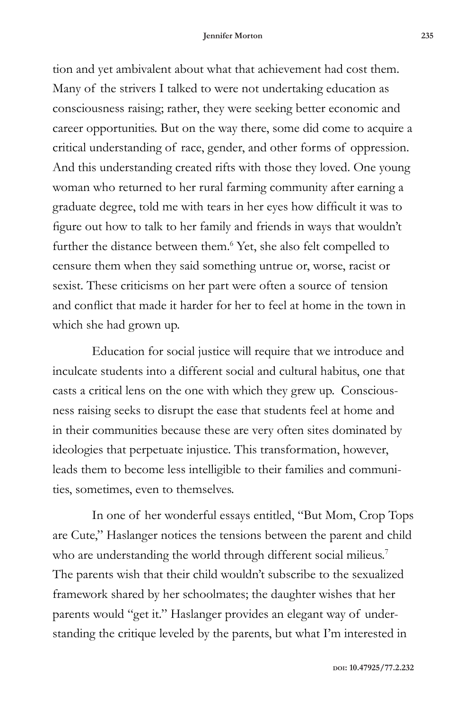tion and yet ambivalent about what that achievement had cost them. Many of the strivers I talked to were not undertaking education as consciousness raising; rather, they were seeking better economic and career opportunities. But on the way there, some did come to acquire a critical understanding of race, gender, and other forms of oppression. And this understanding created rifts with those they loved. One young woman who returned to her rural farming community after earning a graduate degree, told me with tears in her eyes how difficult it was to figure out how to talk to her family and friends in ways that wouldn't further the distance between them.<sup>6</sup> Yet, she also felt compelled to censure them when they said something untrue or, worse, racist or sexist. These criticisms on her part were often a source of tension and conflict that made it harder for her to feel at home in the town in which she had grown up.

Education for social justice will require that we introduce and inculcate students into a different social and cultural habitus, one that casts a critical lens on the one with which they grew up. Consciousness raising seeks to disrupt the ease that students feel at home and in their communities because these are very often sites dominated by ideologies that perpetuate injustice. This transformation, however, leads them to become less intelligible to their families and communities, sometimes, even to themselves.

In one of her wonderful essays entitled, "But Mom, Crop Tops are Cute," Haslanger notices the tensions between the parent and child who are understanding the world through different social milieus.<sup>7</sup> The parents wish that their child wouldn't subscribe to the sexualized framework shared by her schoolmates; the daughter wishes that her parents would "get it." Haslanger provides an elegant way of understanding the critique leveled by the parents, but what I'm interested in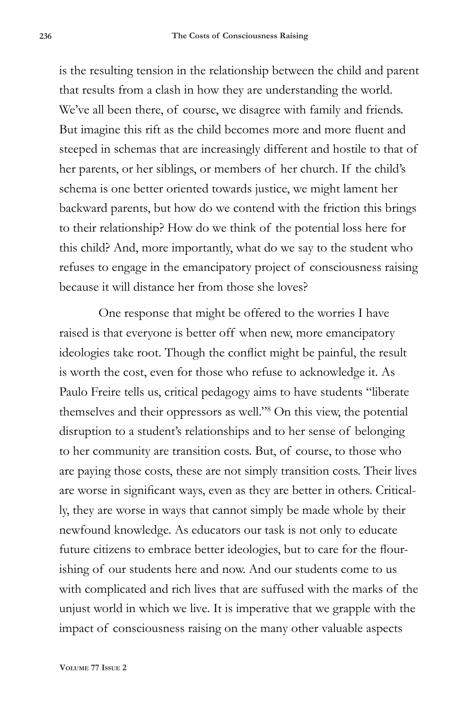is the resulting tension in the relationship between the child and parent that results from a clash in how they are understanding the world. We've all been there, of course, we disagree with family and friends. But imagine this rift as the child becomes more and more fluent and steeped in schemas that are increasingly different and hostile to that of her parents, or her siblings, or members of her church. If the child's schema is one better oriented towards justice, we might lament her backward parents, but how do we contend with the friction this brings to their relationship? How do we think of the potential loss here for this child? And, more importantly, what do we say to the student who refuses to engage in the emancipatory project of consciousness raising because it will distance her from those she loves?

One response that might be offered to the worries I have raised is that everyone is better off when new, more emancipatory ideologies take root. Though the conflict might be painful, the result is worth the cost, even for those who refuse to acknowledge it. As Paulo Freire tells us, critical pedagogy aims to have students "liberate themselves and their oppressors as well."8 On this view, the potential disruption to a student's relationships and to her sense of belonging to her community are transition costs. But, of course, to those who are paying those costs, these are not simply transition costs. Their lives are worse in significant ways, even as they are better in others. Critically, they are worse in ways that cannot simply be made whole by their newfound knowledge. As educators our task is not only to educate future citizens to embrace better ideologies, but to care for the flourishing of our students here and now. And our students come to us with complicated and rich lives that are suffused with the marks of the unjust world in which we live. It is imperative that we grapple with the impact of consciousness raising on the many other valuable aspects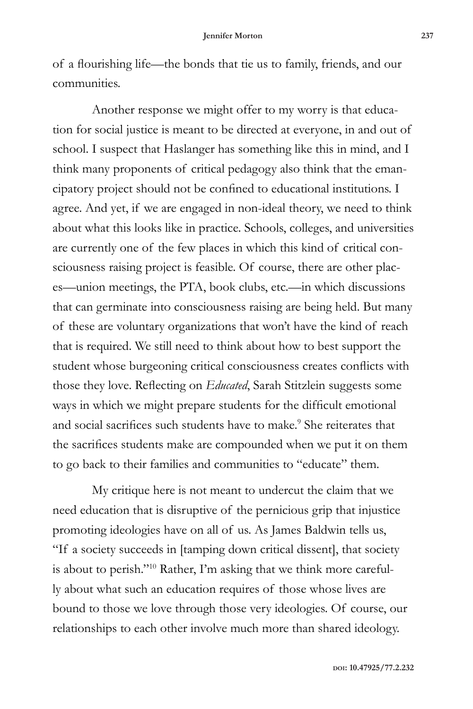of a flourishing life—the bonds that tie us to family, friends, and our communities.

Another response we might offer to my worry is that education for social justice is meant to be directed at everyone, in and out of school. I suspect that Haslanger has something like this in mind, and I think many proponents of critical pedagogy also think that the emancipatory project should not be confined to educational institutions. I agree. And yet, if we are engaged in non-ideal theory, we need to think about what this looks like in practice. Schools, colleges, and universities are currently one of the few places in which this kind of critical consciousness raising project is feasible. Of course, there are other places—union meetings, the PTA, book clubs, etc.—in which discussions that can germinate into consciousness raising are being held. But many of these are voluntary organizations that won't have the kind of reach that is required. We still need to think about how to best support the student whose burgeoning critical consciousness creates conflicts with those they love. Reflecting on *Educated*, Sarah Stitzlein suggests some ways in which we might prepare students for the difficult emotional and social sacrifices such students have to make.<sup>9</sup> She reiterates that the sacrifices students make are compounded when we put it on them to go back to their families and communities to "educate" them.

My critique here is not meant to undercut the claim that we need education that is disruptive of the pernicious grip that injustice promoting ideologies have on all of us. As James Baldwin tells us, "If a society succeeds in [tamping down critical dissent], that society is about to perish."10 Rather, I'm asking that we think more carefully about what such an education requires of those whose lives are bound to those we love through those very ideologies. Of course, our relationships to each other involve much more than shared ideology.